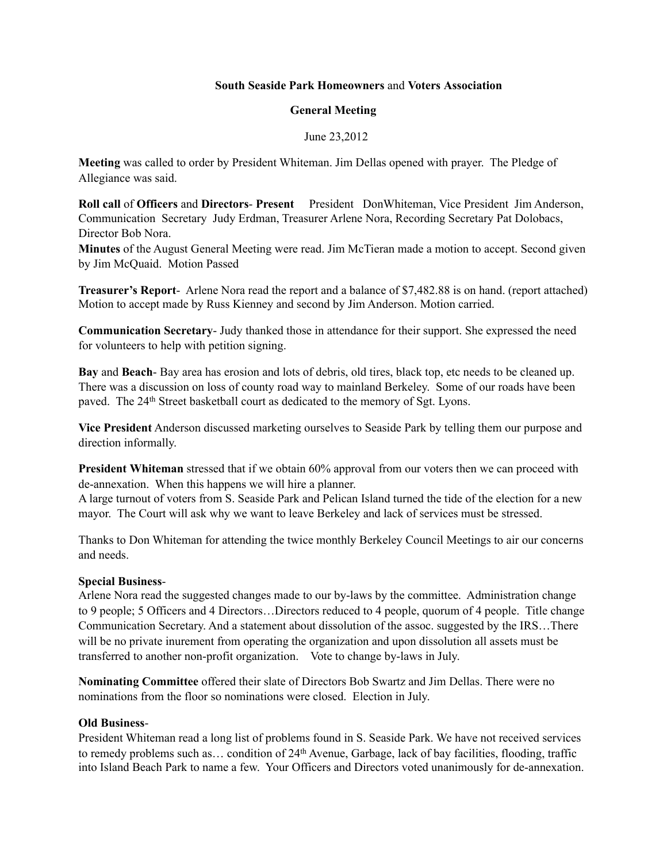### **South Seaside Park Homeowners** and **Voters Association**

## **General Meeting**

### June 23,2012

**Meeting** was called to order by President Whiteman. Jim Dellas opened with prayer. The Pledge of Allegiance was said.

**Roll call** of **Officers** and **Directors**- **Present** President DonWhiteman, Vice President Jim Anderson, Communication Secretary Judy Erdman, Treasurer Arlene Nora, Recording Secretary Pat Dolobacs, Director Bob Nora.

**Minutes** of the August General Meeting were read. Jim McTieran made a motion to accept. Second given by Jim McQuaid. Motion Passed

**Treasurer's Report**- Arlene Nora read the report and a balance of \$7,482.88 is on hand. (report attached) Motion to accept made by Russ Kienney and second by Jim Anderson. Motion carried.

**Communication Secretary**- Judy thanked those in attendance for their support. She expressed the need for volunteers to help with petition signing.

**Bay** and **Beach**- Bay area has erosion and lots of debris, old tires, black top, etc needs to be cleaned up. There was a discussion on loss of county road way to mainland Berkeley. Some of our roads have been paved. The 24<sup>th</sup> Street basketball court as dedicated to the memory of Sgt. Lyons.

**Vice President** Anderson discussed marketing ourselves to Seaside Park by telling them our purpose and direction informally.

**President Whiteman** stressed that if we obtain 60% approval from our voters then we can proceed with de-annexation. When this happens we will hire a planner.

A large turnout of voters from S. Seaside Park and Pelican Island turned the tide of the election for a new mayor. The Court will ask why we want to leave Berkeley and lack of services must be stressed.

Thanks to Don Whiteman for attending the twice monthly Berkeley Council Meetings to air our concerns and needs.

# **Special Business**-

Arlene Nora read the suggested changes made to our by-laws by the committee. Administration change to 9 people; 5 Officers and 4 Directors…Directors reduced to 4 people, quorum of 4 people. Title change Communication Secretary. And a statement about dissolution of the assoc. suggested by the IRS…There will be no private inurement from operating the organization and upon dissolution all assets must be transferred to another non-profit organization. Vote to change by-laws in July.

**Nominating Committee** offered their slate of Directors Bob Swartz and Jim Dellas. There were no nominations from the floor so nominations were closed. Election in July.

# **Old Business**-

President Whiteman read a long list of problems found in S. Seaside Park. We have not received services to remedy problems such as… condition of 24th Avenue, Garbage, lack of bay facilities, flooding, traffic into Island Beach Park to name a few. Your Officers and Directors voted unanimously for de-annexation.